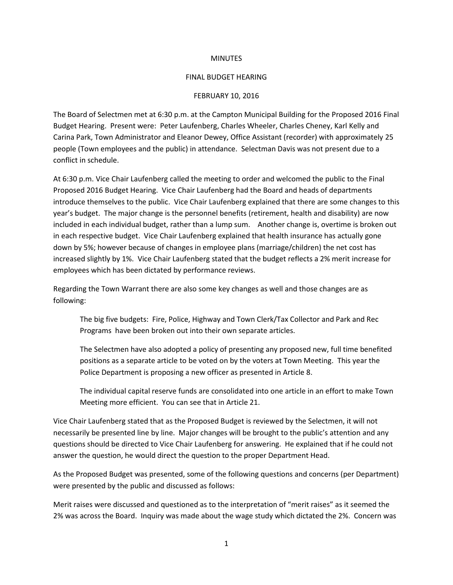## **MINUTES**

## FINAL BUDGET HEARING

## FEBRUARY 10, 2016

The Board of Selectmen met at 6:30 p.m. at the Campton Municipal Building for the Proposed 2016 Final Budget Hearing. Present were: Peter Laufenberg, Charles Wheeler, Charles Cheney, Karl Kelly and Carina Park, Town Administrator and Eleanor Dewey, Office Assistant (recorder) with approximately 25 people (Town employees and the public) in attendance. Selectman Davis was not present due to a conflict in schedule.

At 6:30 p.m. Vice Chair Laufenberg called the meeting to order and welcomed the public to the Final Proposed 2016 Budget Hearing. Vice Chair Laufenberg had the Board and heads of departments introduce themselves to the public. Vice Chair Laufenberg explained that there are some changes to this year's budget. The major change is the personnel benefits (retirement, health and disability) are now included in each individual budget, rather than a lump sum. Another change is, overtime is broken out in each respective budget. Vice Chair Laufenberg explained that health insurance has actually gone down by 5%; however because of changes in employee plans (marriage/children) the net cost has increased slightly by 1%. Vice Chair Laufenberg stated that the budget reflects a 2% merit increase for employees which has been dictated by performance reviews.

Regarding the Town Warrant there are also some key changes as well and those changes are as following:

The big five budgets: Fire, Police, Highway and Town Clerk/Tax Collector and Park and Rec Programs have been broken out into their own separate articles.

The Selectmen have also adopted a policy of presenting any proposed new, full time benefited positions as a separate article to be voted on by the voters at Town Meeting. This year the Police Department is proposing a new officer as presented in Article 8.

The individual capital reserve funds are consolidated into one article in an effort to make Town Meeting more efficient. You can see that in Article 21.

Vice Chair Laufenberg stated that as the Proposed Budget is reviewed by the Selectmen, it will not necessarily be presented line by line. Major changes will be brought to the public's attention and any questions should be directed to Vice Chair Laufenberg for answering. He explained that if he could not answer the question, he would direct the question to the proper Department Head.

As the Proposed Budget was presented, some of the following questions and concerns (per Department) were presented by the public and discussed as follows:

Merit raises were discussed and questioned as to the interpretation of "merit raises" as it seemed the 2% was across the Board. Inquiry was made about the wage study which dictated the 2%. Concern was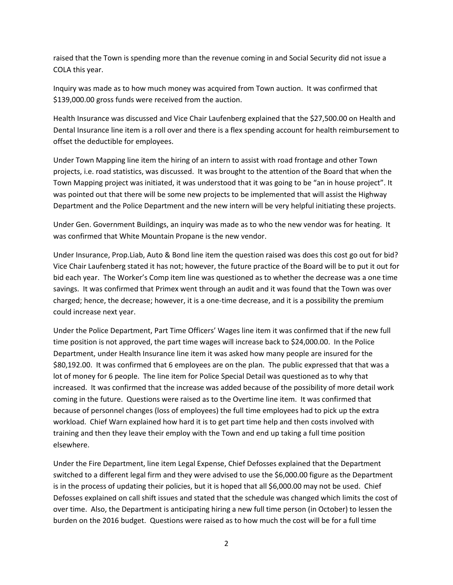raised that the Town is spending more than the revenue coming in and Social Security did not issue a COLA this year.

Inquiry was made as to how much money was acquired from Town auction. It was confirmed that \$139,000.00 gross funds were received from the auction.

Health Insurance was discussed and Vice Chair Laufenberg explained that the \$27,500.00 on Health and Dental Insurance line item is a roll over and there is a flex spending account for health reimbursement to offset the deductible for employees.

Under Town Mapping line item the hiring of an intern to assist with road frontage and other Town projects, i.e. road statistics, was discussed. It was brought to the attention of the Board that when the Town Mapping project was initiated, it was understood that it was going to be "an in house project". It was pointed out that there will be some new projects to be implemented that will assist the Highway Department and the Police Department and the new intern will be very helpful initiating these projects.

Under Gen. Government Buildings, an inquiry was made as to who the new vendor was for heating. It was confirmed that White Mountain Propane is the new vendor.

Under Insurance, Prop.Liab, Auto & Bond line item the question raised was does this cost go out for bid? Vice Chair Laufenberg stated it has not; however, the future practice of the Board will be to put it out for bid each year. The Worker's Comp item line was questioned as to whether the decrease was a one time savings. It was confirmed that Primex went through an audit and it was found that the Town was over charged; hence, the decrease; however, it is a one-time decrease, and it is a possibility the premium could increase next year.

Under the Police Department, Part Time Officers' Wages line item it was confirmed that if the new full time position is not approved, the part time wages will increase back to \$24,000.00. In the Police Department, under Health Insurance line item it was asked how many people are insured for the \$80,192.00. It was confirmed that 6 employees are on the plan. The public expressed that that was a lot of money for 6 people. The line item for Police Special Detail was questioned as to why that increased. It was confirmed that the increase was added because of the possibility of more detail work coming in the future. Questions were raised as to the Overtime line item. It was confirmed that because of personnel changes (loss of employees) the full time employees had to pick up the extra workload. Chief Warn explained how hard it is to get part time help and then costs involved with training and then they leave their employ with the Town and end up taking a full time position elsewhere.

Under the Fire Department, line item Legal Expense, Chief Defosses explained that the Department switched to a different legal firm and they were advised to use the \$6,000.00 figure as the Department is in the process of updating their policies, but it is hoped that all \$6,000.00 may not be used. Chief Defosses explained on call shift issues and stated that the schedule was changed which limits the cost of over time. Also, the Department is anticipating hiring a new full time person (in October) to lessen the burden on the 2016 budget. Questions were raised as to how much the cost will be for a full time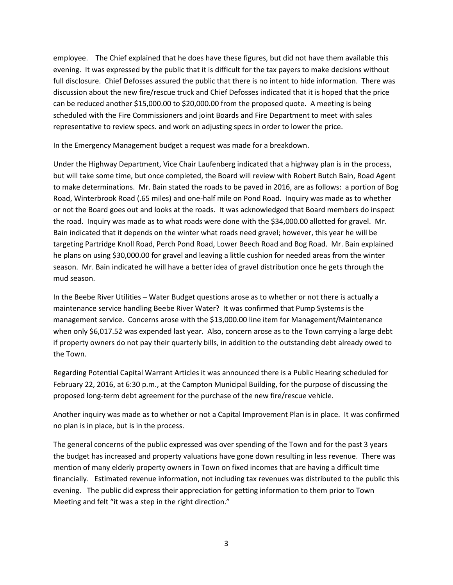employee. The Chief explained that he does have these figures, but did not have them available this evening. It was expressed by the public that it is difficult for the tax payers to make decisions without full disclosure. Chief Defosses assured the public that there is no intent to hide information. There was discussion about the new fire/rescue truck and Chief Defosses indicated that it is hoped that the price can be reduced another \$15,000.00 to \$20,000.00 from the proposed quote. A meeting is being scheduled with the Fire Commissioners and joint Boards and Fire Department to meet with sales representative to review specs. and work on adjusting specs in order to lower the price.

In the Emergency Management budget a request was made for a breakdown.

Under the Highway Department, Vice Chair Laufenberg indicated that a highway plan is in the process, but will take some time, but once completed, the Board will review with Robert Butch Bain, Road Agent to make determinations. Mr. Bain stated the roads to be paved in 2016, are as follows: a portion of Bog Road, Winterbrook Road (.65 miles) and one-half mile on Pond Road. Inquiry was made as to whether or not the Board goes out and looks at the roads. It was acknowledged that Board members do inspect the road. Inquiry was made as to what roads were done with the \$34,000.00 allotted for gravel. Mr. Bain indicated that it depends on the winter what roads need gravel; however, this year he will be targeting Partridge Knoll Road, Perch Pond Road, Lower Beech Road and Bog Road. Mr. Bain explained he plans on using \$30,000.00 for gravel and leaving a little cushion for needed areas from the winter season. Mr. Bain indicated he will have a better idea of gravel distribution once he gets through the mud season.

In the Beebe River Utilities – Water Budget questions arose as to whether or not there is actually a maintenance service handling Beebe River Water? It was confirmed that Pump Systems is the management service. Concerns arose with the \$13,000.00 line item for Management/Maintenance when only \$6,017.52 was expended last year. Also, concern arose as to the Town carrying a large debt if property owners do not pay their quarterly bills, in addition to the outstanding debt already owed to the Town.

Regarding Potential Capital Warrant Articles it was announced there is a Public Hearing scheduled for February 22, 2016, at 6:30 p.m., at the Campton Municipal Building, for the purpose of discussing the proposed long-term debt agreement for the purchase of the new fire/rescue vehicle.

Another inquiry was made as to whether or not a Capital Improvement Plan is in place. It was confirmed no plan is in place, but is in the process.

The general concerns of the public expressed was over spending of the Town and for the past 3 years the budget has increased and property valuations have gone down resulting in less revenue. There was mention of many elderly property owners in Town on fixed incomes that are having a difficult time financially. Estimated revenue information, not including tax revenues was distributed to the public this evening. The public did express their appreciation for getting information to them prior to Town Meeting and felt "it was a step in the right direction."